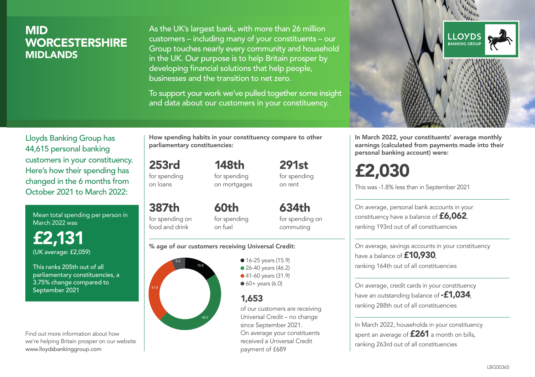# MID **WORCESTERSHIRE** MIDLANDS

As the UK's largest bank, with more than 26 million customers – including many of your constituents – our Group touches nearly every community and household in the UK. Our purpose is to help Britain prosper by developing financial solutions that help people, businesses and the transition to net zero.

To support your work we've pulled together some insight and data about our customers in your constituency.



Mean total spending per person in March 2022 was

£2,131 (UK average: £2,059)

This ranks 205th out of all parliamentary constituencies, a 3.75% change compared to September 2021

Find out more information about how we're helping Britain prosper on our website www.lloydsbankinggroup.com

How spending habits in your constituency compare to other parliamentary constituencies:

253rd for spending 148th

on loans

387th

for spending on mortgages 291st for spending on rent

for spending on food and drink 60th for spending on fuel

634th for spending on commuting

#### % age of our customers receiving Universal Credit:



• 16-25 years (15.9) • 26-40 years (46.2) ● 41-60 years (31.9)  $60+$  years (6.0)

# 1,653

of our customers are receiving Universal Credit – no change since September 2021. On average your constituents received a Universal Credit payment of £689



In March 2022, your constituents' average monthly earnings (calculated from payments made into their personal banking account) were:

# £2,030

This was -1.8% less than in September 2021

On average, personal bank accounts in your constituency have a balance of £6,062, ranking 193rd out of all constituencies

On average, savings accounts in your constituency have a balance of **£10,930** ranking 164th out of all constituencies

On average, credit cards in your constituency have an outstanding balance of **-£1,034**, ranking 288th out of all constituencies

In March 2022, households in your constituency spent an average of **£261** a month on bills, ranking 263rd out of all constituencies